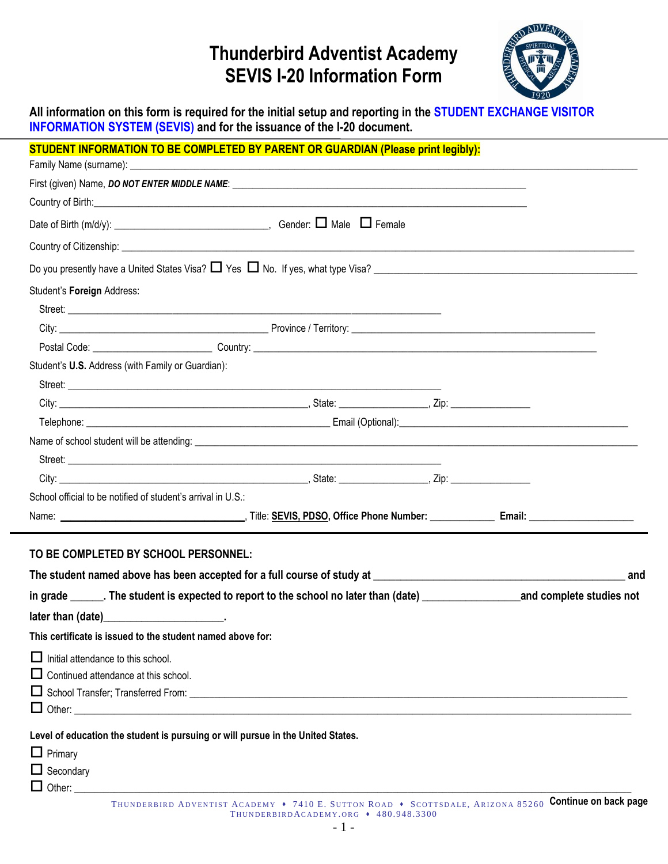## **Thunderbird Adventist Academy SEVIS I-20 Information Form**



**All information on this form is required for the initial setup and reporting in the STUDENT EXCHANGE VISITOR INFORMATION SYSTEM (SEVIS) and for the issuance of the I-20 document.**

| STUDENT INFORMATION TO BE COMPLETED BY PARENT OR GUARDIAN (Please print legibly):                                     |  |  |  |  |  |  |
|-----------------------------------------------------------------------------------------------------------------------|--|--|--|--|--|--|
|                                                                                                                       |  |  |  |  |  |  |
|                                                                                                                       |  |  |  |  |  |  |
|                                                                                                                       |  |  |  |  |  |  |
|                                                                                                                       |  |  |  |  |  |  |
|                                                                                                                       |  |  |  |  |  |  |
|                                                                                                                       |  |  |  |  |  |  |
| Student's Foreign Address:                                                                                            |  |  |  |  |  |  |
|                                                                                                                       |  |  |  |  |  |  |
|                                                                                                                       |  |  |  |  |  |  |
|                                                                                                                       |  |  |  |  |  |  |
| Student's U.S. Address (with Family or Guardian):                                                                     |  |  |  |  |  |  |
|                                                                                                                       |  |  |  |  |  |  |
|                                                                                                                       |  |  |  |  |  |  |
|                                                                                                                       |  |  |  |  |  |  |
|                                                                                                                       |  |  |  |  |  |  |
|                                                                                                                       |  |  |  |  |  |  |
|                                                                                                                       |  |  |  |  |  |  |
| School official to be notified of student's arrival in U.S.:                                                          |  |  |  |  |  |  |
|                                                                                                                       |  |  |  |  |  |  |
| TO BE COMPLETED BY SCHOOL PERSONNEL:                                                                                  |  |  |  |  |  |  |
| This certificate is issued to the student named above for:                                                            |  |  |  |  |  |  |
| $\Box$ Initial attendance to this school.<br>$\Box$ Continued attendance at this school.                              |  |  |  |  |  |  |
| Level of education the student is pursuing or will pursue in the United States.<br>$\Box$ Primary<br>$\Box$ Secondary |  |  |  |  |  |  |